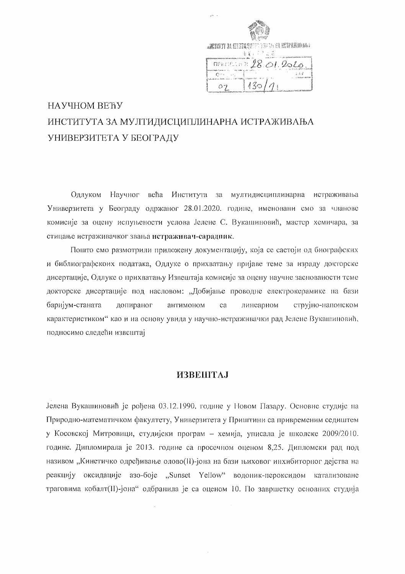|  | ANCINE ME TELEVISION CONTROL AND NAMES<br>ងងនៃកំពីជាធី |
|--|--------------------------------------------------------|
|  | $m$ <i>Metan 18.01.2020</i><br>n a ruf                 |
|  | 13011                                                  |

# НАУЧНОМ ВЕЋУ ИНСТИТУТА ЗА МУЛТИДИСЦИПЛИНАРНА ИСТРАЖИВАЊА УНИВЕРЗИТЕТА У БЕОГРАДУ

Одлуком Научног већа Института за мултидисциплинарна истраживања Универзитета у Београду одржаног 28.01.2020. године, именовани смо за чланове комисије за оцену испуњености услова Јелене С. Вукашиновић, мастер хемичара, за стицање истраживачког звања истраживач-сарадник.

Пошто смо размотрили приложену документацију, која се састоји од биографских и библиографскоих података, Одлуке о прихватању пријаве теме за израду докторске дисертације, Одлуке о прихватању Извештаја комисије за оцену научне заснованости теме докторске дисертације под насловом: "Добијање проводне електрокерамике на бази баријум-станата допираног антимоном ca линеарном струјно-напонском карактеристиком" као и на основу увида у научно-истраживачки рад Јелене Вукашиновић, подносимо следећи извештај

### **VIBEIIITAJ**

Јелена Вукашиновић је рођена 03.12.1990. године у Новом Пазару. Основне студије на Природно-математичком факултету, Универзитета у Приштини са привременим седиштем у Косовској Митровици, студијски програм - хемија, уписала је школске 2009/2010. године. Дипломирала је 2013. године са просечном оценом 8,25. Дипломски рад под називом "Кинетичко одређивање олово(II)-јона на бази њиховог инхибиторног дејства на реакцију оксидације азо-боје "Sunset Yellow" водоник-пероксидом катализоване траговима кобалт(II)-јона" одбранила је са оценом 10. По завршетку основних студија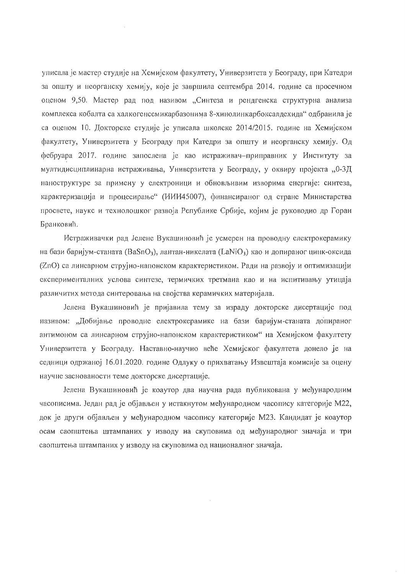уписала је мастер студије на Хемијском факултету, Универзитета у Београду, при Катедри за општу и неорганску хемију, које је завршила септембра 2014. године са просечном оценом 9,50. Мастер рад под називом "Синтеза и рендгенска структурна анализа комплекса кобалта са халкогенсемикарбазонима 8-хинолинкарбоксалдехида" одбранила је са оценом 10. Докторске студије је уписала школске 2014/2015. године на Хемијском факултету, Универзитета у Београду при Катедри за општу и неорганску хемију. Од фебруара 2017. године запослена је као истраживач-приправник у Институту за мултидисциплинарна истраживања, Универзитета у Београду, у оквиру пројекта "0-3Д наноструктуре за примену у електроници и обновљивим изворима енергије: синтеза, карактеризација и процесирање" (ИИИ45007), финансираног од стране Министарства просвете, наукс и технолошког развоја Републике Србије, којим је руководио др Горан Бранковић.

 $\hat{\mathcal{A}}$ 

Истраживачки рад Јелене Вукашиновић је усмерен на проводну електрокерамику на бази баријум-станата (BaSnO<sub>3</sub>), лантан-никелата (LaNiO<sub>3</sub>) као и допираног цинк-оксида (ZnO) са линеарном струјно-напонском карактеристиком. Ради на развоју и оптимизацији експерименталних услова синтезе, термичких третмана као и на испитивању утицаја различитих метода синтеровања на својства керамичких материјала.

Јелена Вукашиновић је пријавила тему за израду докторске дисертације под називом: "Добијање проводне електрокерамике на бази баријум-станата допираног антимоном са линеарном струјно-напонском карактеристиком" на Хемијском факултету Универзитета у Београду. Наставно-научно веће Хемијског факултета донело је на седници одржаној 16.01.2020. године Одлуку о прихватању Извештаја комисије за оцену научне заснованости теме докторске дисертације.

Јелена Вукашиновић је коаутор два научна рада публикована у међународним часописима. Један рад је објављен у истакнутом међународном часопису категорије М22, док је други објављен у међународном часопису категорије М23. Кандидат је коаутор осам саопштења штампаних у изводу на скуповима од међународног значаја и три саопштења штампаних у изводу на скуповима од националног значаја.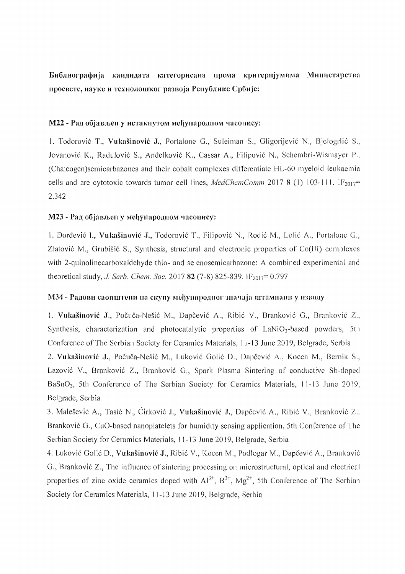Библиографија кандидата категорисана према критеријумима Министарства просвете, науке и технолошког развоја Републике Србије:

#### М22 - Рад објављен у истакнутом међународном часопису:

1. Todorović T., Vukašinović J., Portalone G., Suleiman S., Gligorijević N., Bjelogrlić S., Jovanović K., Radulović S., Anđelković K., Cassar A., Filipović N., Schembri-Wismayer P., (Chalcogen) semicarbazones and their cobalt complexes differentiate HL-60 myeloid leukaemia cells and are cytotoxic towards tumor cell lines, MedChemComm 2017 8 (1) 103-111. IF<sub>2017</sub>= 2,342

#### М23 - Рад објављен у међународном часопису:

1. Đorđević I., Vukašinović J., Todorović T., Filipović N., Rodić M., Lolić A., Portalone G., Zlatović M., Grubišić S., Synthesis, structural and electronic properties of Co(III) complexes with 2-quinolinecarboxaldehyde thio- and selenosemicarbazone: A combined experimental and theoretical study, J. Serb. Chem. Soc. 2017 82 (7-8) 825-839. IF<sub>2017</sub> = 0.797

#### МЗ4 - Радови саопштени на скупу међународног значаја штамнани у изводу

1. Vukašinović J., Počuča-Nešić M., Dapčević A., Ribić V., Branković G., Branković Z., Synthesis, characterization and photocatalytic properties of LaNiO3-based powders, 5th Conference of The Serbian Society for Ceramics Materials, 11-13 June 2019, Belgrade, Serbia

2. Vukašinović J., Počuča-Nešić M., Luković Golić D., Dapčević A., Kocen M., Bernik S., Lazović V., Branković Z., Branković G., Spark Plasma Sintering of conductive Sb-doped BaSnO<sub>3</sub>, 5th Conference of The Serbian Society for Ceramics Materials, 11-13 June 2019, Belgrade, Serbia

3. Malešević A., Tasić N., Ćirković J., Vukašinović J., Dapčević A., Ribić V., Branković Z., Branković G., CuO-based nanoplatelets for humidity sensing application, 5th Conference of The Serbian Society for Ceramics Materials, 11-13 June 2019, Belgrade, Serbia

4. Luković Golić D., Vukašinović J., Ribić V., Kocen M., Podlogar M., Dapčević A., Branković G., Branković Z., The influence of sintering processing on microstructural, optical and electrical properties of zinc oxide ceramics doped with  $Al^{3+}$ ,  $B^{3+}$ ,  $Mg^{2+}$ , 5th Conference of The Serbian Society for Ceramics Materials, 11-13 June 2019, Belgrade, Serbia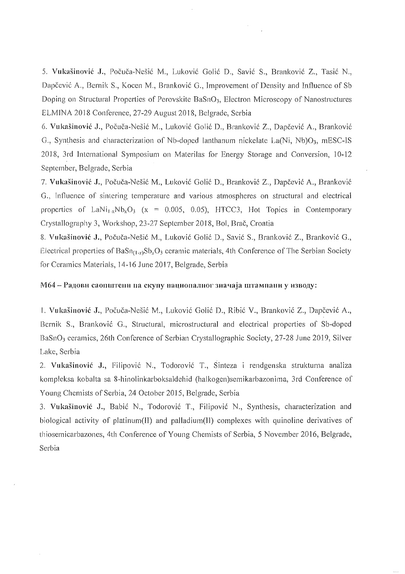5. Vukašinović J., Počuča-Nešić M., Luković Golić D., Savić S., Branković Z., Tasić N., Dapčević A., Bernik S., Kocen M., Branković G., Improvement of Density and Influence of Sb Doping on Structural Properties of Perovskite BaSnO<sub>3</sub>, Electron Microscopy of Nanostructures ELMINA 2018 Conference, 27-29 August 2018, Belgrade, Serbia

6. Vukašinović J., Počuča-Nešić M., Luković Golić D., Branković Z., Dapčević A., Branković G., Synthesis and characterization of Nb-doped lanthanum nickelate La(Ni, Nb)O<sub>3</sub>, mESC-IS 2018, 3rd International Symposium on Materilas for Energy Storage and Conversion, 10-12 September, Belgrade, Serbia

7. Vukašinović J., Počuča-Nešić M., Luković Golić D., Branković Z., Dapčević A., Branković G., Influence of sintering temperature and various atmospheres on structural and electrical properties of LaNi<sub>1-x</sub>Nb<sub>x</sub>O<sub>3</sub> (x = 0.005, 0.05), HTCC3, Hot Topics in Contemporary Crystallography 3, Workshop, 23-27 September 2018, Bol, Brač, Croatia

8. Vukašinović J., Počuča-Nešić M., Luković Golić D., Savić S., Branković Z., Branković G., Electrical properties of  $BaSn_{(1-x)}Sb_xO_3$  ceramic materials, 4th Conference of The Serbian Society for Ceramics Materials, 14-16 June 2017, Belgrade, Serbia

#### М64 - Радови саопштени на скупу националног значаја штампани у изводу:

1. Vukašinović J., Počuča-Nešić M., Luković Golić D., Ribić V., Branković Z., Dapčević A., Bernik S., Branković G., Structural, microstructural and electrical properties of Sb-doped BaSnO<sub>3</sub> ceramics, 26th Conference of Serbian Crystallographic Society, 27-28 June 2019, Silver Lake, Serbia

2. Vukašinović J., Filipović N., Todorović T., Sinteza i rendgenska strukturna analiza kompleksa kobalta sa 8-hinolinkarboksaldehid (halkogen) semikarbazonima, 3rd Conference of Young Chemists of Serbia, 24 October 2015, Belgrade, Serbia

3. Vukašinović J., Babić N., Todorović T., Filipović N., Synthesis, characterization and biological activity of platinum(II) and palladium(II) complexes with quinoline derivatives of thiosemicarbazones, 4th Conference of Young Chemists of Serbia, 5 November 2016, Belgrade, Serbia